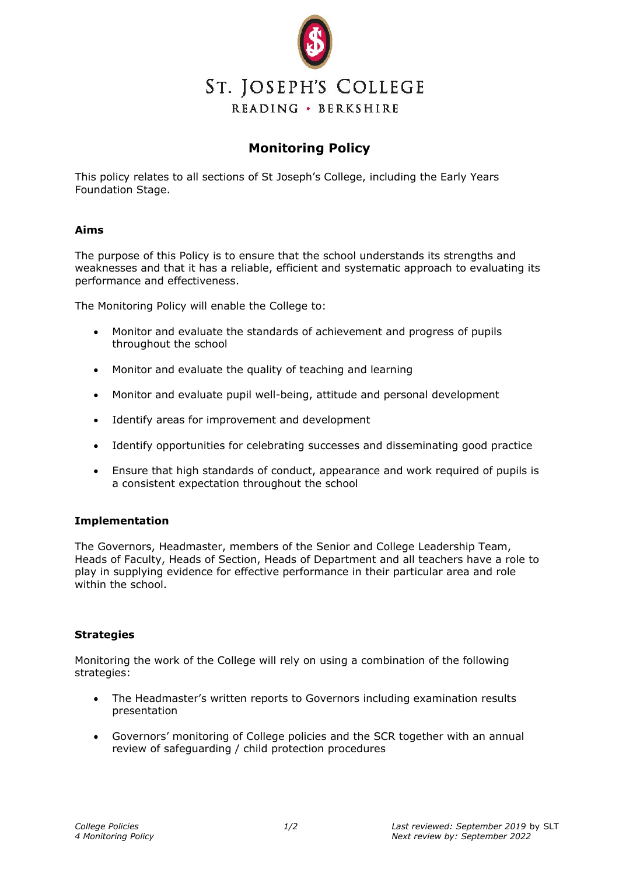

## **Monitoring Policy**

This policy relates to all sections of St Joseph's College, including the Early Years Foundation Stage.

## **Aims**

The purpose of this Policy is to ensure that the school understands its strengths and weaknesses and that it has a reliable, efficient and systematic approach to evaluating its performance and effectiveness.

The Monitoring Policy will enable the College to:

- Monitor and evaluate the standards of achievement and progress of pupils throughout the school
- Monitor and evaluate the quality of teaching and learning
- Monitor and evaluate pupil well-being, attitude and personal development
- Identify areas for improvement and development
- Identify opportunities for celebrating successes and disseminating good practice
- Ensure that high standards of conduct, appearance and work required of pupils is a consistent expectation throughout the school

## **Implementation**

The Governors, Headmaster, members of the Senior and College Leadership Team, Heads of Faculty, Heads of Section, Heads of Department and all teachers have a role to play in supplying evidence for effective performance in their particular area and role within the school.

## **Strategies**

Monitoring the work of the College will rely on using a combination of the following strategies:

- The Headmaster's written reports to Governors including examination results presentation
- Governors' monitoring of College policies and the SCR together with an annual review of safeguarding / child protection procedures